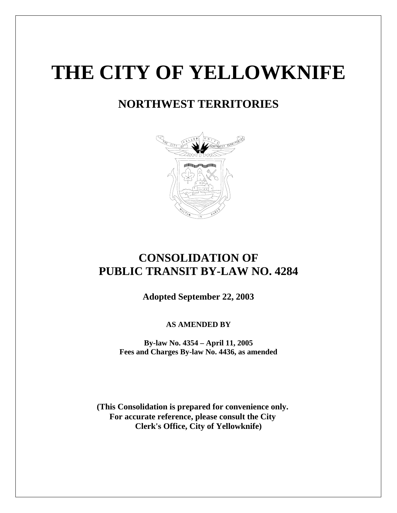# **THE CITY OF YELLOWKNIFE**

# **NORTHWEST TERRITORIES**



# **CONSOLIDATION OF PUBLIC TRANSIT BY-LAW NO. 4284**

**Adopted September 22, 2003**

**AS AMENDED BY** 

**By-law No. 4354 – April 11, 2005 Fees and Charges By-law No. 4436, as amended** 

**(This Consolidation is prepared for convenience only. For accurate reference, please consult the City Clerk's Office, City of Yellowknife)**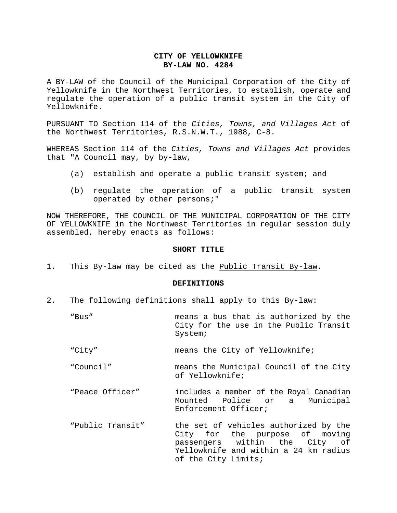### **CITY OF YELLOWKNIFE BY-LAW NO. 4284**

A BY-LAW of the Council of the Municipal Corporation of the City of Yellowknife in the Northwest Territories, to establish, operate and regulate the operation of a public transit system in the City of Yellowknife.

PURSUANT TO Section 114 of the *Cities, Towns, and Villages Act* of the Northwest Territories, R.S.N.W.T., 1988, C-8.

WHEREAS Section 114 of the *Cities, Towns and Villages Act* provides that "A Council may, by by-law,

- (a) establish and operate a public transit system; and
- (b) regulate the operation of a public transit system operated by other persons;"

NOW THEREFORE, THE COUNCIL OF THE MUNICIPAL CORPORATION OF THE CITY OF YELLOWKNIFE in the Northwest Territories in regular session duly assembled, hereby enacts as follows:

#### **SHORT TITLE**

1. This By-law may be cited as the Public Transit By-law.

#### **DEFINITIONS**

- 2. The following definitions shall apply to this By-law:
	- "Bus" means a bus that is authorized by the City for the use in the Public Transit System;
	- "City" means the City of Yellowknife;
	- "Council" means the Municipal Council of the City of Yellowknife;
	- "Peace Officer" includes a member of the Royal Canadian Mounted Police or a Municipal Enforcement Officer;
	- "Public Transit" the set of vehicles authorized by the City for the purpose of moving passengers within the City of Yellowknife and within a 24 km radius of the City Limits;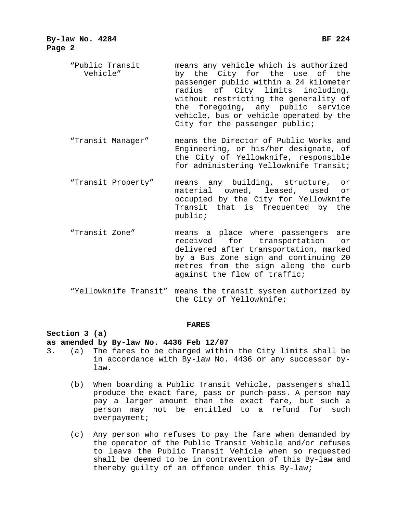- "Public Transit means any vehicle which is authorized Vehicle" by the City for the use of the passenger public within a 24 kilometer radius of City limits including, without restricting the generality of the foregoing, any public service vehicle, bus or vehicle operated by the City for the passenger public;
- "Transit Manager" means the Director of Public Works and Engineering, or his/her designate, of the City of Yellowknife, responsible for administering Yellowknife Transit;
- "Transit Property" means any building, structure, or material owned, leased, used or occupied by the City for Yellowknife Transit that is frequented by the public;
- "Transit Zone" means a place where passengers are received for transportation or delivered after transportation, marked by a Bus Zone sign and continuing 20 metres from the sign along the curb against the flow of traffic;
- "Yellowknife Transit" means the transit system authorized by the City of Yellowknife;

#### **FARES**

#### **Section 3 (a)**

### **as amended by By-law No. 4436 Feb 12/07**

- 3. (a) The fares to be charged within the City limits shall be in accordance with By-law No. 4436 or any successor bylaw.
	- (b) When boarding a Public Transit Vehicle, passengers shall produce the exact fare, pass or punch-pass. A person may pay a larger amount than the exact fare, but such a person may not be entitled to a refund for such overpayment;
	- (c) Any person who refuses to pay the fare when demanded by the operator of the Public Transit Vehicle and/or refuses to leave the Public Transit Vehicle when so requested shall be deemed to be in contravention of this By-law and thereby guilty of an offence under this By-law;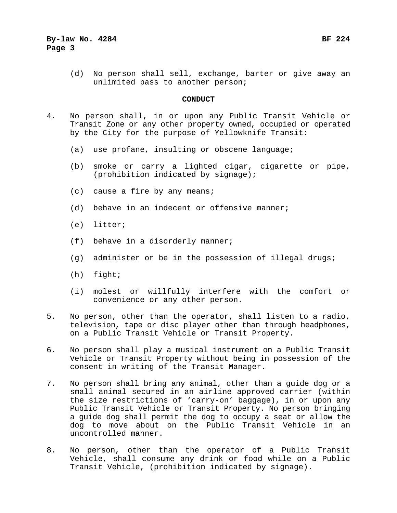(d) No person shall sell, exchange, barter or give away an unlimited pass to another person;

#### **CONDUCT**

- 4. No person shall, in or upon any Public Transit Vehicle or Transit Zone or any other property owned, occupied or operated by the City for the purpose of Yellowknife Transit:
	- (a) use profane, insulting or obscene language;
	- (b) smoke or carry a lighted cigar, cigarette or pipe, (prohibition indicated by signage);
	- (c) cause a fire by any means;
	- (d) behave in an indecent or offensive manner;
	- (e) litter;
	- (f) behave in a disorderly manner;
	- (g) administer or be in the possession of illegal drugs;
	- (h) fight;
	- (i) molest or willfully interfere with the comfort or convenience or any other person.
- 5. No person, other than the operator, shall listen to a radio, television, tape or disc player other than through headphones, on a Public Transit Vehicle or Transit Property.
- 6. No person shall play a musical instrument on a Public Transit Vehicle or Transit Property without being in possession of the consent in writing of the Transit Manager.
- 7. No person shall bring any animal, other than a guide dog or a small animal secured in an airline approved carrier (within the size restrictions of 'carry-on' baggage), in or upon any Public Transit Vehicle or Transit Property. No person bringing a guide dog shall permit the dog to occupy a seat or allow the dog to move about on the Public Transit Vehicle in an uncontrolled manner.
- 8. No person, other than the operator of a Public Transit Vehicle, shall consume any drink or food while on a Public Transit Vehicle, (prohibition indicated by signage).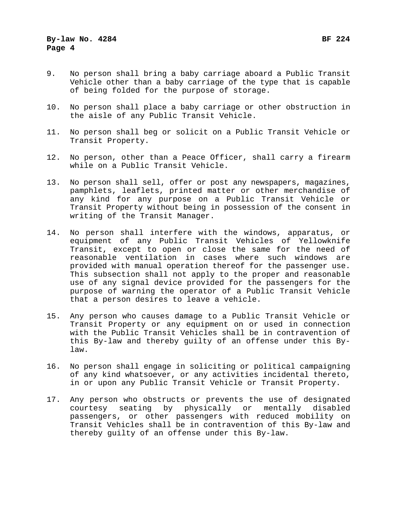- 9. No person shall bring a baby carriage aboard a Public Transit Vehicle other than a baby carriage of the type that is capable of being folded for the purpose of storage.
- 10. No person shall place a baby carriage or other obstruction in the aisle of any Public Transit Vehicle.
- 11. No person shall beg or solicit on a Public Transit Vehicle or Transit Property.
- 12. No person, other than a Peace Officer, shall carry a firearm while on a Public Transit Vehicle.
- 13. No person shall sell, offer or post any newspapers, magazines, pamphlets, leaflets, printed matter or other merchandise of any kind for any purpose on a Public Transit Vehicle or Transit Property without being in possession of the consent in writing of the Transit Manager.
- 14. No person shall interfere with the windows, apparatus, or equipment of any Public Transit Vehicles of Yellowknife Transit, except to open or close the same for the need of reasonable ventilation in cases where such windows are provided with manual operation thereof for the passenger use. This subsection shall not apply to the proper and reasonable use of any signal device provided for the passengers for the purpose of warning the operator of a Public Transit Vehicle that a person desires to leave a vehicle.
- 15. Any person who causes damage to a Public Transit Vehicle or Transit Property or any equipment on or used in connection with the Public Transit Vehicles shall be in contravention of this By-law and thereby guilty of an offense under this Bylaw.
- 16. No person shall engage in soliciting or political campaigning of any kind whatsoever, or any activities incidental thereto, in or upon any Public Transit Vehicle or Transit Property.
- 17. Any person who obstructs or prevents the use of designated courtesy seating by physically or mentally disabled passengers, or other passengers with reduced mobility on Transit Vehicles shall be in contravention of this By-law and thereby guilty of an offense under this By-law.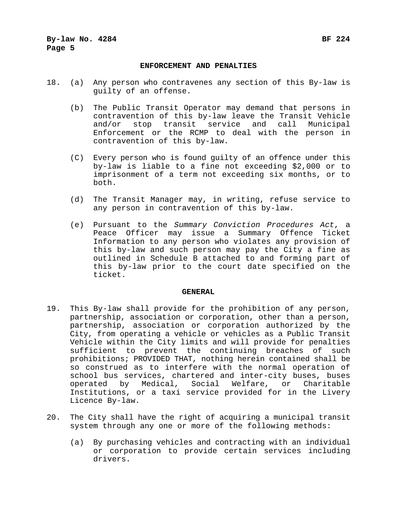#### **ENFORCEMENT AND PENALTIES**

- 18. (a) Any person who contravenes any section of this By-law is guilty of an offense.
	- (b) The Public Transit Operator may demand that persons in contravention of this by-law leave the Transit Vehicle and/or stop transit service and call Municipal Enforcement or the RCMP to deal with the person in contravention of this by-law.
	- (C) Every person who is found guilty of an offence under this by-law is liable to a fine not exceeding \$2,000 or to imprisonment of a term not exceeding six months, or to both.
	- (d) The Transit Manager may, in writing, refuse service to any person in contravention of this by-law.
	- (e) Pursuant to the *Summary Conviction Procedures Act*, a Peace Officer may issue a Summary Offence Ticket Information to any person who violates any provision of this by-law and such person may pay the City a fine as outlined in Schedule B attached to and forming part of this by-law prior to the court date specified on the ticket.

#### **GENERAL**

- 19. This By-law shall provide for the prohibition of any person, partnership, association or corporation, other than a person, partnership, association or corporation authorized by the City, from operating a vehicle or vehicles as a Public Transit Vehicle within the City limits and will provide for penalties sufficient to prevent the continuing breaches of such prohibitions; PROVIDED THAT, nothing herein contained shall be so construed as to interfere with the normal operation of school bus services, chartered and inter-city buses, buses operated by Medical, Social Welfare, or Charitable Institutions, or a taxi service provided for in the Livery Licence By-law.
- 20. The City shall have the right of acquiring a municipal transit system through any one or more of the following methods:
	- (a) By purchasing vehicles and contracting with an individual or corporation to provide certain services including drivers.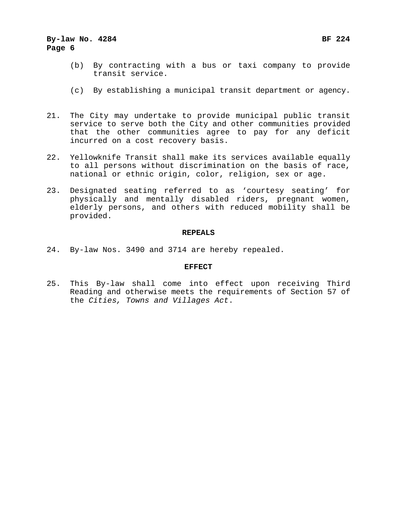## **By-law No. 4284 BF 224 Page 6**

- (b) By contracting with a bus or taxi company to provide transit service.
- (c) By establishing a municipal transit department or agency.
- 21. The City may undertake to provide municipal public transit service to serve both the City and other communities provided that the other communities agree to pay for any deficit incurred on a cost recovery basis.
- 22. Yellowknife Transit shall make its services available equally to all persons without discrimination on the basis of race, national or ethnic origin, color, religion, sex or age.
- 23. Designated seating referred to as 'courtesy seating' for physically and mentally disabled riders, pregnant women, elderly persons, and others with reduced mobility shall be provided.

#### **REPEALS**

24. By-law Nos. 3490 and 3714 are hereby repealed.

#### **EFFECT**

25. This By-law shall come into effect upon receiving Third Reading and otherwise meets the requirements of Section 57 of the *Cities, Towns and Villages Act*.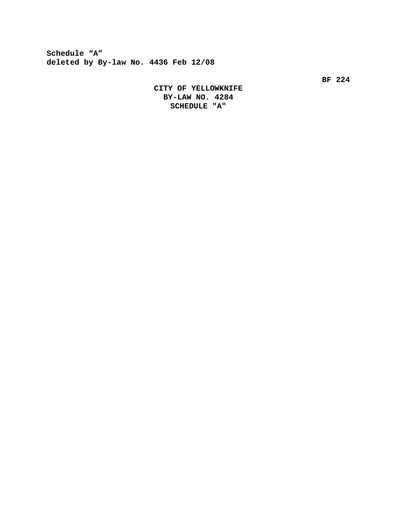**Schedule "A" deleted by By-law No. 4436 Feb 12/08**

**BF 224** 

 **CITY OF YELLOWKNIFE BY-LAW NO. 4284 SCHEDULE "A"**